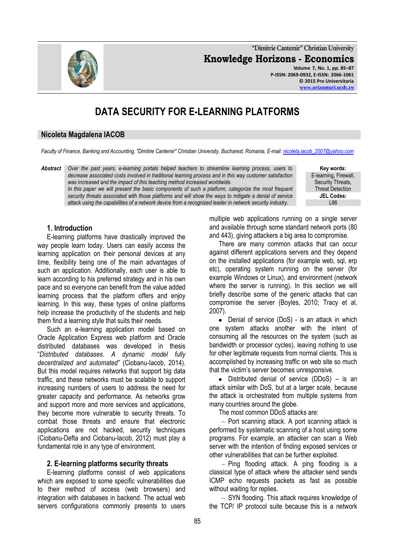**"Dimitrie Cantemir" Christian University Knowledge Horizons - Economics Volume 7, No. 1, pp. 85–87 P-ISSN: 2069-0932, E-ISSN: 2066-1061**

# **DATA SECURITY FOR E-LEARNING PLATFORMS**

## **Nicoleta Magdalena IACOB**

*Faculty of Finance, Banking and Accounting, "Dimitrie Cantemir" Christian University, Bucharest, Romania, E-mail: [nicoleta.iacob\\_2007@yahoo.com](mailto:nicoleta.iacob_2007@yahoo.com)*

*Abstract Over the past years, e-learning portals helped teachers to streamline learning process, users to decrease associated costs involved in traditional learning process and in this way customer satisfaction was increased and the impact of this teaching method increased worldwide.* In this paper we will present the basic components of such a platform, categorize the most frequent

*security threats associated with those platforms and will show the ways to mitigate a denial of service attack using the capabilities of a network device from a recognized leader in network security industry.*

**Key words:** E-learning, Firewall, Security Threats, Threat Detection **JEL Codes:** L86

## **1. Introduction**

E-learning platforms have drastically improved the way people learn today. Users can easily access the learning application on their personal devices at any time, flexibility being one of the main advantages of such an application. Additionally, each user is able to learn according to his preferred strategy and in his own pace and so everyone can benefit from the value added learning process that the platform offers and enjoy learning. In this way, these types of online platforms help increase the productivity of the students and help them find a learning style that suits their needs.

Such an e-learning application model based on Oracle Application Express web platform and Oracle distributed databases was developed in thesis "*Distributed databases. A dynamic model fully decentralized and automated"* (Ciobanu-Iacob, 2014). But this model requires networks that support big data traffic, and these networks must be scalable to support increasing numbers of users to address the need for greater capacity and performance. As networks grow and support more and more services and applications, they become more vulnerable to security threats. To combat those threats and ensure that electronic applications are not hacked, security techniques (Ciobanu-Defta and Ciobanu-Iacob, 2012) must play a fundamental role in any type of environment.

#### **2. E-learning platforms security threats**

E-learning platforms consist of web applications which are exposed to some specific vulnerabilities due to their method of access (web browsers) and integration with databases in backend. The actual web servers configurations commonly presents to users multiple web applications running on a single server and available through some standard network ports (80 and 443), giving attackers a big area to compromise.

There are many common attacks that can occur against different applications servers and they depend on the installed applications (for example web, sql, erp etc), operating system running on the server (for example Windows or Linux), and environment (network where the server is running). In this section we will briefly describe some of the generic attacks that can compromise the server (Boyles, 2010; Tracy et al, 2007).

• Denial of service (DoS) - is an attack in which one system attacks another with the intent of consuming all the resources on the system (such as bandwidth or processor cycles), leaving nothing to use for other legitimate requests from normal clients. This is accomplished by increasing traffic on web site so much that the victim's server becomes unresponsive.

Distributed denial of service (DDoS) – is an attack similar with DoS, but at a larger scale, because the attack is orchestrated from multiple systems from many countries around the globe.

The most common DDoS attacks are:

 $-$  Port scanning attack. A port scanning attack is performed by systematic scanning of a host using some programs. For example, an attacker can scan a Web server with the intention of finding exposed services or other vulnerabilities that can be further exploited.

 $-$  Ping flooding attack. A ping flooding is a classical type of attack where the attacker send sends ICMP echo requests packets as fast as possible without waiting for replies.

- SYN flooding. This attack requires knowledge of the TCP/ IP protocol suite because this is a network

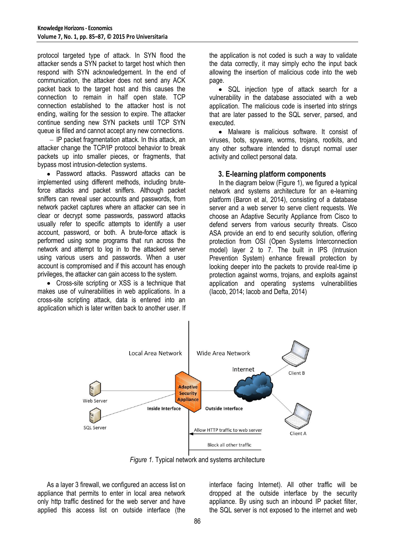protocol targeted type of attack. In SYN flood the attacker sends a SYN packet to target host which then respond with SYN acknowledgement. In the end of communication, the attacker does not send any ACK packet back to the target host and this causes the connection to remain in half open state. TCP connection established to the attacker host is not ending, waiting for the session to expire. The attacker continue sending new SYN packets until TCP SYN queue is filled and cannot accept any new connections.

 $-I$ P packet fragmentation attack. In this attack, an attacker change the TCP/IP protocol behavior to break packets up into smaller pieces, or fragments, that bypass most intrusion-detection systems.

Password attacks. Password attacks can be implemented using different methods, including bruteforce attacks and packet sniffers. Although packet sniffers can reveal user accounts and passwords, from network packet captures where an attacker can see in clear or decrypt some passwords, password attacks usually refer to specific attempts to identify a user account, password, or both. A brute-force attack is performed using some programs that run across the network and attempt to log in to the attacked server using various users and passwords. When a user account is compromised and if this account has enough privileges, the attacker can gain access to the system.

• Cross-site scripting or XSS is a technique that makes use of vulnerabilities in web applications. In a cross-site scripting attack, data is entered into an application which is later written back to another user. If the application is not coded is such a way to validate the data correctly, it may simply echo the input back allowing the insertion of malicious code into the web page.

• SQL injection type of attack search for a vulnerability in the database associated with a web application. The malicious code is inserted into strings that are later passed to the SQL server, parsed, and executed.

Malware is malicious software. It consist of viruses, bots, spyware, worms, trojans, rootkits, and any other software intended to disrupt normal user activity and collect personal data.

# **3. E-learning platform components**

In the diagram below (Figure 1), we figured a typical network and systems architecture for an e-learning platform (Baron et al, 2014), consisting of a database server and a web server to serve client requests. We choose an Adaptive Security Appliance from Cisco to defend servers from various security threats. Cisco ASA provide an end to end security solution, offering protection from OSI (Open Systems Interconnection model) layer 2 to 7. The built in IPS (Intrusion Prevention System) enhance firewall protection by looking deeper into the packets to provide real-time ip protection against worms, trojans, and exploits against application and operating systems vulnerabilities (Iacob, 2014; Iacob and Defta, 2014)



*Figure 1.* Typical network and systems architecture

As a layer 3 firewall, we configured an access list on appliance that permits to enter in local area network only http traffic destined for the web server and have applied this access list on outside interface (the

interface facing Internet). All other traffic will be dropped at the outside interface by the security appliance. By using such an inbound IP packet filter, the SQL server is not exposed to the internet and web